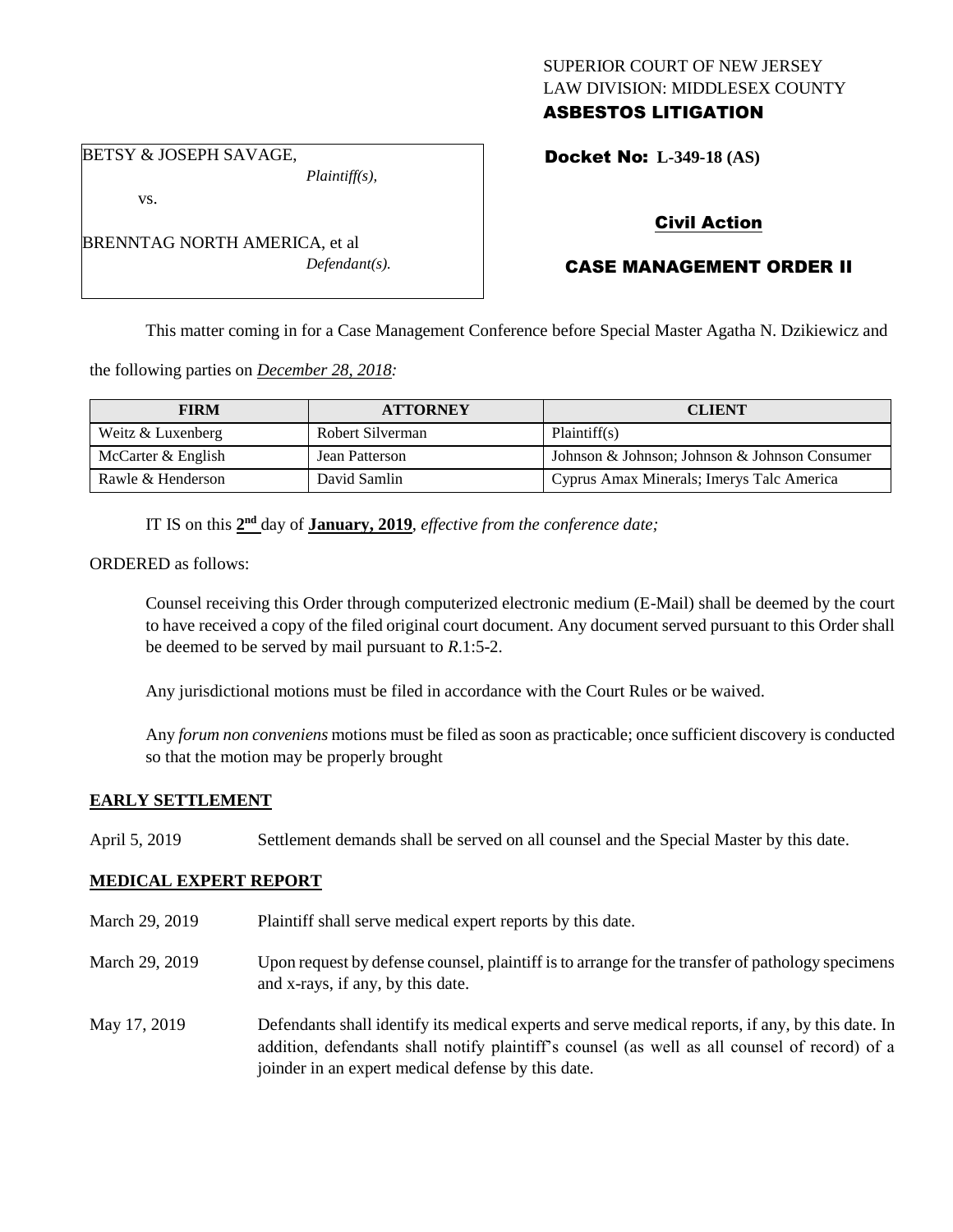# SUPERIOR COURT OF NEW JERSEY LAW DIVISION: MIDDLESEX COUNTY ASBESTOS LITIGATION

Docket No: **L-349-18 (AS)** 

BETSY & JOSEPH SAVAGE,

vs.

*Plaintiff(s),*

Civil Action

# CASE MANAGEMENT ORDER II

This matter coming in for a Case Management Conference before Special Master Agatha N. Dzikiewicz and

the following parties on *December 28, 2018:*

| <b>FIRM</b>          | <b>ATTORNEY</b>  | <b>CLIENT</b>                                 |
|----------------------|------------------|-----------------------------------------------|
| Weitz & Luxenberg    | Robert Silverman | Plaintiff(s)                                  |
| McCarter $&$ English | Jean Patterson   | Johnson & Johnson; Johnson & Johnson Consumer |
| Rawle & Henderson    | David Samlin     | Cyprus Amax Minerals; Imerys Talc America     |

IT IS on this  $2<sup>nd</sup>$  day of **January, 2019**, *effective from the conference date*;

ORDERED as follows:

Counsel receiving this Order through computerized electronic medium (E-Mail) shall be deemed by the court to have received a copy of the filed original court document. Any document served pursuant to this Order shall be deemed to be served by mail pursuant to *R*.1:5-2.

Any jurisdictional motions must be filed in accordance with the Court Rules or be waived.

Any *forum non conveniens* motions must be filed as soon as practicable; once sufficient discovery is conducted so that the motion may be properly brought

# **EARLY SETTLEMENT**

April 5, 2019 Settlement demands shall be served on all counsel and the Special Master by this date.

## **MEDICAL EXPERT REPORT**

- March 29, 2019 Plaintiff shall serve medical expert reports by this date.
- March 29, 2019 Upon request by defense counsel, plaintiff is to arrange for the transfer of pathology specimens and x-rays, if any, by this date.
- May 17, 2019 Defendants shall identify its medical experts and serve medical reports, if any, by this date. In addition, defendants shall notify plaintiff's counsel (as well as all counsel of record) of a joinder in an expert medical defense by this date.

BRENNTAG NORTH AMERICA, et al *Defendant(s).*